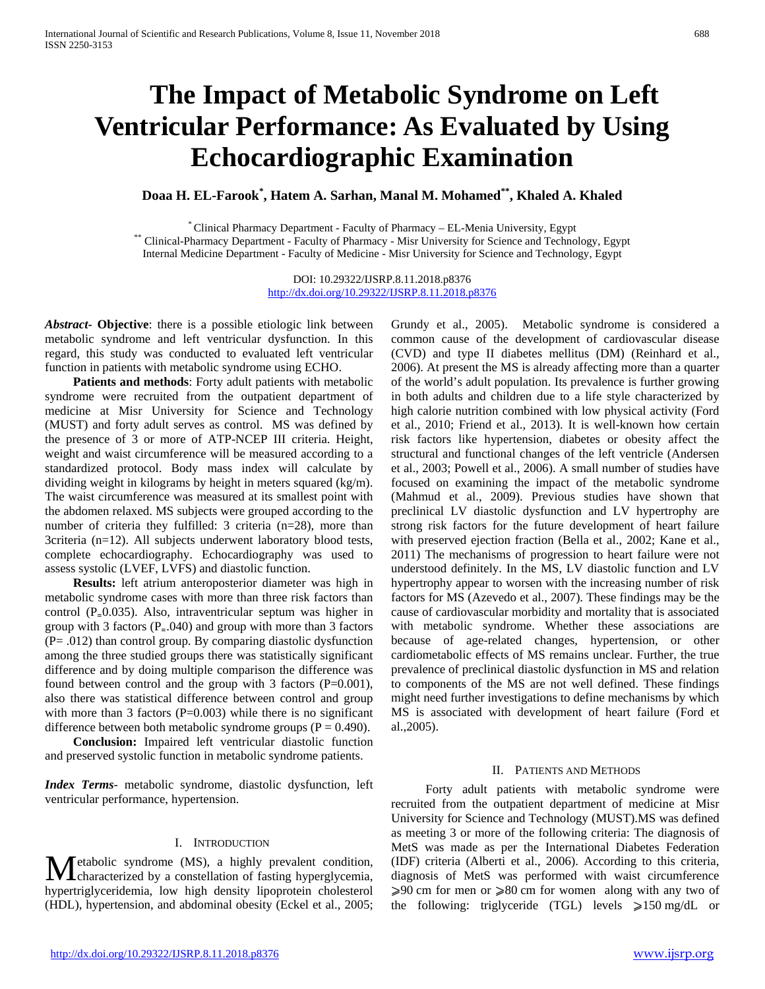# **The Impact of Metabolic Syndrome on Left Ventricular Performance: As Evaluated by Using Echocardiographic Examination**

**Doaa H. EL-Farook\* , Hatem A. Sarhan, Manal M. Mohamed\*\*, Khaled A. Khaled**

\* Clinical Pharmacy Department - Faculty of Pharmacy – EL-Menia University, Egypt \*\* Clinical-Pharmacy Department - Faculty of Pharmacy - Misr University for Science and Technology, Egypt Internal Medicine Department - Faculty of Medicine - Misr University for Science and Technology, Egypt

> DOI: 10.29322/IJSRP.8.11.2018.p8376 <http://dx.doi.org/10.29322/IJSRP.8.11.2018.p8376>

*Abstract***- Objective**: there is a possible etiologic link between metabolic syndrome and left ventricular dysfunction. In this regard, this study was conducted to evaluated left ventricular function in patients with metabolic syndrome using ECHO.

 **Patients and methods**: Forty adult patients with metabolic syndrome were recruited from the outpatient department of medicine at Misr University for Science and Technology (MUST) and forty adult serves as control. MS was defined by the presence of 3 or more of ATP-NCEP III criteria. Height, weight and waist circumference will be measured according to a standardized protocol. Body mass index will calculate by dividing weight in kilograms by height in meters squared (kg/m). The waist circumference was measured at its smallest point with the abdomen relaxed. MS subjects were grouped according to the number of criteria they fulfilled: 3 criteria (n=28), more than 3criteria (n=12). All subjects underwent laboratory blood tests, complete echocardiography. Echocardiography was used to assess systolic (LVEF, LVFS) and diastolic function.

 **Results:** left atrium anteroposterior diameter was high in metabolic syndrome cases with more than three risk factors than control  $(P_0.035)$ . Also, intraventricular septum was higher in group with 3 factors ( $P_0$ .040) and group with more than 3 factors (P= .012) than control group. By comparing diastolic dysfunction among the three studied groups there was statistically significant difference and by doing multiple comparison the difference was found between control and the group with 3 factors (P=0.001), also there was statistical difference between control and group with more than 3 factors ( $P=0.003$ ) while there is no significant difference between both metabolic syndrome groups ( $P = 0.490$ ).

 **Conclusion:** Impaired left ventricular diastolic function and preserved systolic function in metabolic syndrome patients.

*Index Terms*- metabolic syndrome, diastolic dysfunction, left ventricular performance, hypertension.

## I. INTRODUCTION

etabolic syndrome (MS), a highly prevalent condition, characterized by a constellation of fasting hyperglycemia, **M**etabolic syndrome (MS), a highly prevalent condition, hypertriglyceridemia, low high density lipoprotein cholesterol (HDL), hypertension, and abdominal obesity (Eckel et al., 2005;

<http://dx.doi.org/10.29322/IJSRP.8.11.2018.p8376> [www.ijsrp.org](http://ijsrp.org/)

Grundy et al., 2005). Metabolic syndrome is considered a common cause of the development of cardiovascular disease (CVD) and type II diabetes mellitus (DM) (Reinhard et al., 2006). At present the MS is already affecting more than a quarter of the world's adult population. Its prevalence is further growing in both adults and children due to a life style characterized by high calorie nutrition combined with low physical activity (Ford et al., 2010; Friend et al., 2013). It is well-known how certain risk factors like hypertension, diabetes or obesity affect the structural and functional changes of the left ventricle (Andersen et al., 2003; Powell et al., 2006). A small number of studies have focused on examining the impact of the metabolic syndrome (Mahmud et al., 2009). Previous studies have shown that preclinical LV diastolic dysfunction and LV hypertrophy are strong risk factors for the future development of heart failure with preserved ejection fraction (Bella et al., 2002; Kane et al., 2011) The mechanisms of progression to heart failure were not understood definitely. In the MS, LV diastolic function and LV hypertrophy appear to worsen with the increasing number of risk factors for MS (Azevedo et al., 2007). These findings may be the cause of cardiovascular morbidity and mortality that is associated with metabolic syndrome. Whether these associations are because of age-related changes, hypertension, or other cardiometabolic effects of MS remains unclear. Further, the true prevalence of preclinical diastolic dysfunction in MS and relation to components of the MS are not well defined. These findings might need further investigations to define mechanisms by which MS is associated with development of heart failure (Ford et al.,2005).

#### II. PATIENTS AND METHODS

 Forty adult patients with metabolic syndrome were recruited from the outpatient department of medicine at Misr University for Science and Technology (MUST).MS was defined as meeting 3 or more of the following criteria: The diagnosis of MetS was made as per the International Diabetes Federation (IDF) criteria (Alberti et al., 2006). According to this criteria, diagnosis of MetS was performed with waist circumference  $\geqslant$ 90 cm for men or  $\geqslant$ 80 cm for women along with any two of the following: triglyceride (TGL) levels  $\geq 150$  mg/dL or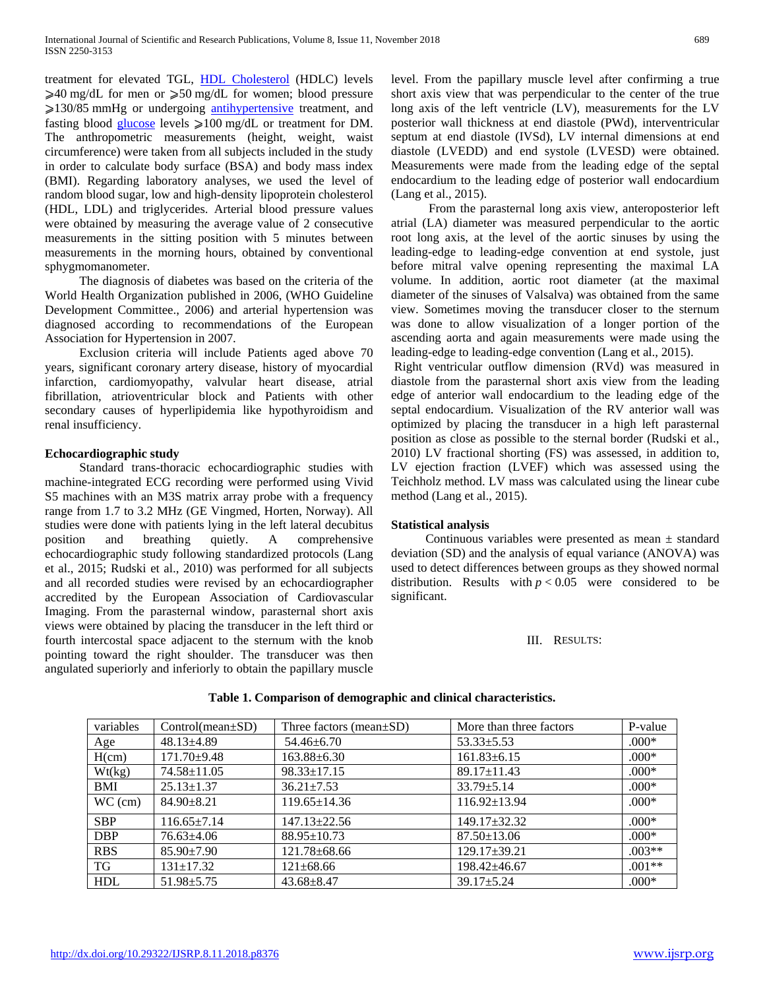treatment for elevated TGL, [HDL Cholesterol](https://www.sciencedirect.com/topics/medicine-and-dentistry/high-density-lipoprotein) (HDLC) levels  $\geq 40$  mg/dL for men or  $\geq 50$  mg/dL for women; blood pressure ⩾130/85 mmHg or undergoing [antihypertensive](https://www.sciencedirect.com/topics/medicine-and-dentistry/antihypertensives) treatment, and fasting blood [glucose](https://www.sciencedirect.com/topics/medicine-and-dentistry/glucose) levels  $\geq 100$  mg/dL or treatment for DM. The anthropometric measurements (height, weight, waist circumference) were taken from all subjects included in the study in order to calculate body surface (BSA) and body mass index (BMI). Regarding laboratory analyses, we used the level of random blood sugar, low and high-density lipoprotein cholesterol (HDL, LDL) and triglycerides. Arterial blood pressure values were obtained by measuring the average value of 2 consecutive measurements in the sitting position with 5 minutes between measurements in the morning hours, obtained by conventional sphygmomanometer.

 The diagnosis of diabetes was based on the criteria of the World Health Organization published in 2006, (WHO Guideline Development Committee., 2006) and arterial hypertension was diagnosed according to recommendations of the European Association for Hypertension in 2007.

 Exclusion criteria will include Patients aged above 70 years, significant coronary artery disease, history of myocardial infarction, cardiomyopathy, valvular heart disease, atrial fibrillation, atrioventricular block and Patients with other secondary causes of hyperlipidemia like hypothyroidism and renal insufficiency.

## **Echocardiographic study**

 Standard trans-thoracic echocardiographic studies with machine-integrated ECG recording were performed using Vivid S5 machines with an M3S matrix array probe with a frequency range from 1.7 to 3.2 MHz (GE Vingmed, Horten, Norway). All studies were done with patients lying in the left lateral decubitus position and breathing quietly. A comprehensive echocardiographic study following standardized protocols (Lang et al., 2015; Rudski et al., 2010) was performed for all subjects and all recorded studies were revised by an echocardiographer accredited by the European Association of Cardiovascular Imaging. From the parasternal window, parasternal short axis views were obtained by placing the transducer in the left third or fourth intercostal space adjacent to the sternum with the knob pointing toward the right shoulder. The transducer was then angulated superiorly and inferiorly to obtain the papillary muscle level. From the papillary muscle level after confirming a true short axis view that was perpendicular to the center of the true long axis of the left ventricle (LV), measurements for the LV posterior wall thickness at end diastole (PWd), interventricular septum at end diastole (IVSd), LV internal dimensions at end diastole (LVEDD) and end systole (LVESD) were obtained. Measurements were made from the leading edge of the septal endocardium to the leading edge of posterior wall endocardium (Lang et al., 2015).

 From the parasternal long axis view, anteroposterior left atrial (LA) diameter was measured perpendicular to the aortic root long axis, at the level of the aortic sinuses by using the leading-edge to leading-edge convention at end systole, just before mitral valve opening representing the maximal LA volume. In addition, aortic root diameter (at the maximal diameter of the sinuses of Valsalva) was obtained from the same view. Sometimes moving the transducer closer to the sternum was done to allow visualization of a longer portion of the ascending aorta and again measurements were made using the leading-edge to leading-edge convention (Lang et al., 2015).

Right ventricular outflow dimension (RVd) was measured in diastole from the parasternal short axis view from the leading edge of anterior wall endocardium to the leading edge of the septal endocardium. Visualization of the RV anterior wall was optimized by placing the transducer in a high left parasternal position as close as possible to the sternal border (Rudski et al., 2010) LV fractional shorting (FS) was assessed, in addition to, LV ejection fraction (LVEF) which was assessed using the Teichholz method. LV mass was calculated using the linear cube method (Lang et al., 2015).

## **Statistical analysis**

 Continuous variables were presented as mean ± standard deviation (SD) and the analysis of equal variance (ANOVA) was used to detect differences between groups as they showed normal distribution. Results with  $p < 0.05$  were considered to be significant.

III. RESULTS:

| variables  | $Control(mean \pm SD)$ | Three factors (mean $\pm SD$ ) | More than three factors | P-value  |
|------------|------------------------|--------------------------------|-------------------------|----------|
| Age        | $48.13 \pm 4.89$       | $54.46 \pm 6.70$               | $53.33 \pm 5.53$        | $.000*$  |
| H(cm)      | $171.70 \pm 9.48$      | $163.88 \pm 6.30$              | $161.83 \pm 6.15$       | $.000*$  |
| Wt(kg)     | $74.58 \pm 11.05$      | $98.33 \pm 17.15$              | $89.17 \pm 11.43$       | $.000*$  |
| BMI        | $25.13 \pm 1.37$       | $36.21 \pm 7.53$               | $33.79 \pm 5.14$        | $.000*$  |
| $WC$ (cm)  | $84.90 \pm 8.21$       | $119.65 \pm 14.36$             | $116.92 \pm 13.94$      | $.000*$  |
| <b>SBP</b> | $116.65 \pm 7.14$      | $147.13 \pm 22.56$             | $149.17 \pm 32.32$      | $.000*$  |
| <b>DBP</b> | $76.63{\pm}4.06$       | $88.95 \pm 10.73$              | $87.50 \pm 13.06$       | $.000*$  |
| <b>RBS</b> | $85.90 \pm 7.90$       | $121.78 \pm 68.66$             | $129.17 \pm 39.21$      | $.003**$ |
| TG         | $131 \pm 17.32$        | $121 \pm 68.66$                | $198.42 \pm 46.67$      | $.001**$ |
| <b>HDL</b> | $51.98 \pm 5.75$       | $43.68 \pm 8.47$               | $39.17 \pm 5.24$        | $.000*$  |

# **Table 1. Comparison of demographic and clinical characteristics.**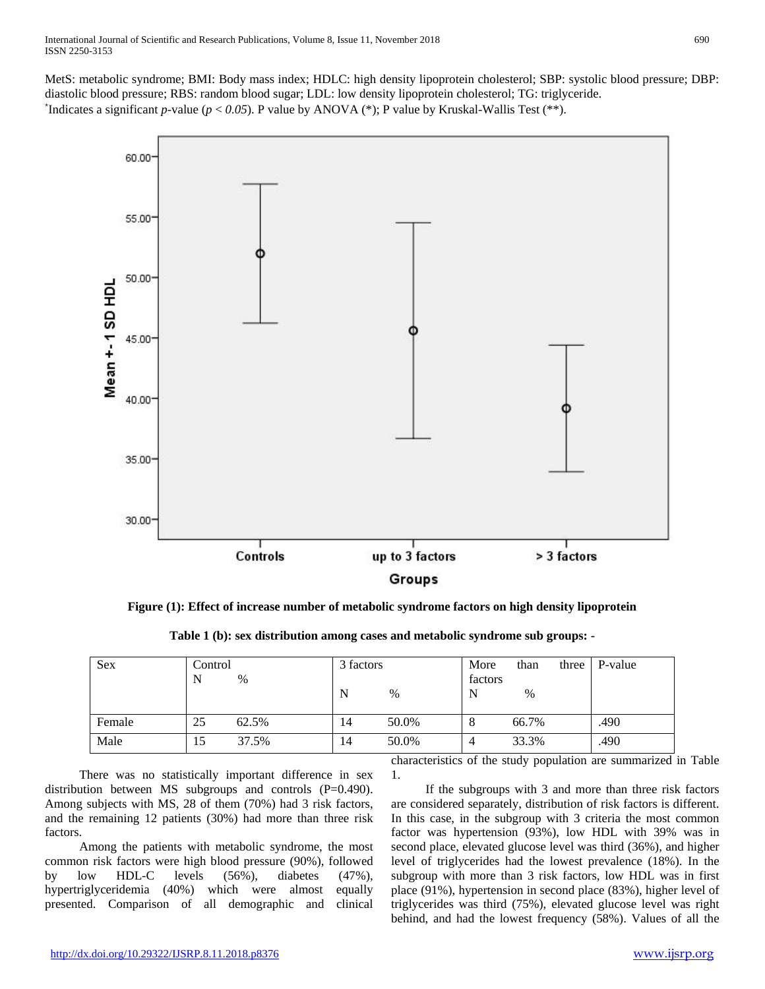MetS: metabolic syndrome; BMI: Body mass index; HDLC: high density lipoprotein cholesterol; SBP: systolic blood pressure; DBP: diastolic blood pressure; RBS: random blood sugar; LDL: low density lipoprotein cholesterol; TG: triglyceride. Indicates a significant *p*-value ( $p < 0.05$ ). P value by ANOVA (\*); P value by Kruskal-Wallis Test (\*\*).



**Figure (1): Effect of increase number of metabolic syndrome factors on high density lipoprotein**

| Sex    | Control<br>N | $\%$  | 3 factors |       | More<br>factors | than  | three P-value |
|--------|--------------|-------|-----------|-------|-----------------|-------|---------------|
|        |              |       | N         | $\%$  | N               | $\%$  |               |
| Female | 25           | 62.5% | 14        | 50.0% | 8               | 66.7% | .490          |
| Male   | 15           | 37.5% | 14        | 50.0% |                 | 33.3% | .490          |

**Table 1 (b): sex distribution among cases and metabolic syndrome sub groups: -**

 There was no statistically important difference in sex distribution between MS subgroups and controls (P=0.490). Among subjects with MS, 28 of them (70%) had 3 risk factors, and the remaining 12 patients (30%) had more than three risk factors.

 Among the patients with metabolic syndrome, the most common risk factors were high blood pressure (90%), followed by low HDL-C levels (56%), diabetes (47%), hypertriglyceridemia (40%) which were almost equally presented. Comparison of all demographic and clinical

characteristics of the study population are summarized in Table 1.

 If the subgroups with 3 and more than three risk factors are considered separately, distribution of risk factors is different. In this case, in the subgroup with 3 criteria the most common factor was hypertension (93%), low HDL with 39% was in second place, elevated glucose level was third (36%), and higher level of triglycerides had the lowest prevalence (18%). In the subgroup with more than 3 risk factors, low HDL was in first place (91%), hypertension in second place (83%), higher level of triglycerides was third (75%), elevated glucose level was right behind, and had the lowest frequency (58%). Values of all the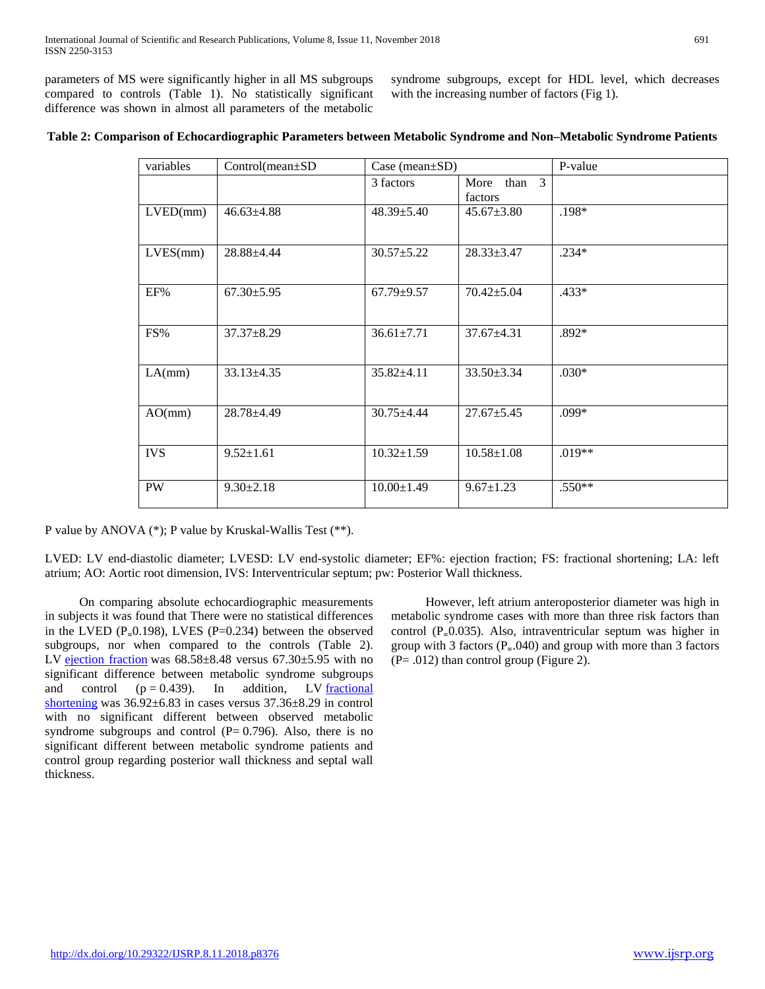parameters of MS were significantly higher in all MS subgroups compared to controls (Table 1). No statistically significant difference was shown in almost all parameters of the metabolic

syndrome subgroups, except for HDL level, which decreases with the increasing number of factors (Fig 1).

| variables  | $Control(mean \pm SD)$ | Case (mean $\pm$ SD) |                                | P-value  |  |
|------------|------------------------|----------------------|--------------------------------|----------|--|
|            |                        | 3 factors            | $\overline{3}$<br>than<br>More |          |  |
|            |                        |                      | factors                        |          |  |
| LVED(mm)   | $46.63{\pm}4.88$       | $48.39 \pm 5.40$     | $45.67 \pm 3.80$               | .198*    |  |
| LVES(mm)   | $28.88 \pm 4.44$       | $30.57 \pm 5.22$     | $28.33 \pm 3.47$               | $.234*$  |  |
| EF%        | $67.30 \pm 5.95$       | $67.79 \pm 9.57$     | $70.42 \pm 5.04$               | $.433*$  |  |
| FS%        | $37.37 \pm 8.29$       | $36.61 \pm 7.71$     | $37.67 \pm 4.31$               | $.892*$  |  |
| LA(mm)     | $33.13 \pm 4.35$       | $35.82{\pm}4.11$     | $33.50 \pm 3.34$               | $.030*$  |  |
| AO(mm)     | 28.78±4.49             | $30.75 \pm 4.44$     | $27.67 \pm 5.45$               | $.099*$  |  |
| <b>IVS</b> | $9.52 \pm 1.61$        | $10.32 \pm 1.59$     | $10.58 \pm 1.08$               | .019**   |  |
| <b>PW</b>  | $9.30 \pm 2.18$        | $10.00 \pm 1.49$     | $9.67 \pm 1.23$                | $.550**$ |  |

|  |  | Table 2: Comparison of Echocardiographic Parameters between Metabolic Syndrome and Non-Metabolic Syndrome Patients |
|--|--|--------------------------------------------------------------------------------------------------------------------|
|  |  |                                                                                                                    |

P value by ANOVA (\*); P value by Kruskal-Wallis Test (\*\*).

LVED: LV end-diastolic diameter; LVESD: LV end-systolic diameter; EF%: ejection fraction; FS: fractional shortening; LA: left atrium; AO: Aortic root dimension, IVS: Interventricular septum; pw: Posterior Wall thickness.

 On comparing absolute echocardiographic measurements in subjects it was found that There were no statistical differences in the LVED ( $P_0$ -0.198), LVES ( $P$ =0.234) between the observed subgroups, nor when compared to the controls (Table 2). LV [ejection fraction](https://www.sciencedirect.com/topics/medicine-and-dentistry/ejection-fraction) was 68.58±8.48 versus 67.30±5.95 with no significant difference between metabolic syndrome subgroups and control  $(p = 0.439)$ . In addition, LV fractional [shortening](https://www.sciencedirect.com/topics/medicine-and-dentistry/ventricle-heart) was 36.92±6.83 in cases versus 37.36±8.29 in control with no significant different between observed metabolic syndrome subgroups and control  $(P= 0.796)$ . Also, there is no significant different between metabolic syndrome patients and control group regarding posterior wall thickness and septal wall thickness.

 However, left atrium anteroposterior diameter was high in metabolic syndrome cases with more than three risk factors than control ( $P_0$ =0.035). Also, intraventricular septum was higher in group with 3 factors ( $P_0$ .040) and group with more than 3 factors  $(P = .012)$  than control group (Figure 2).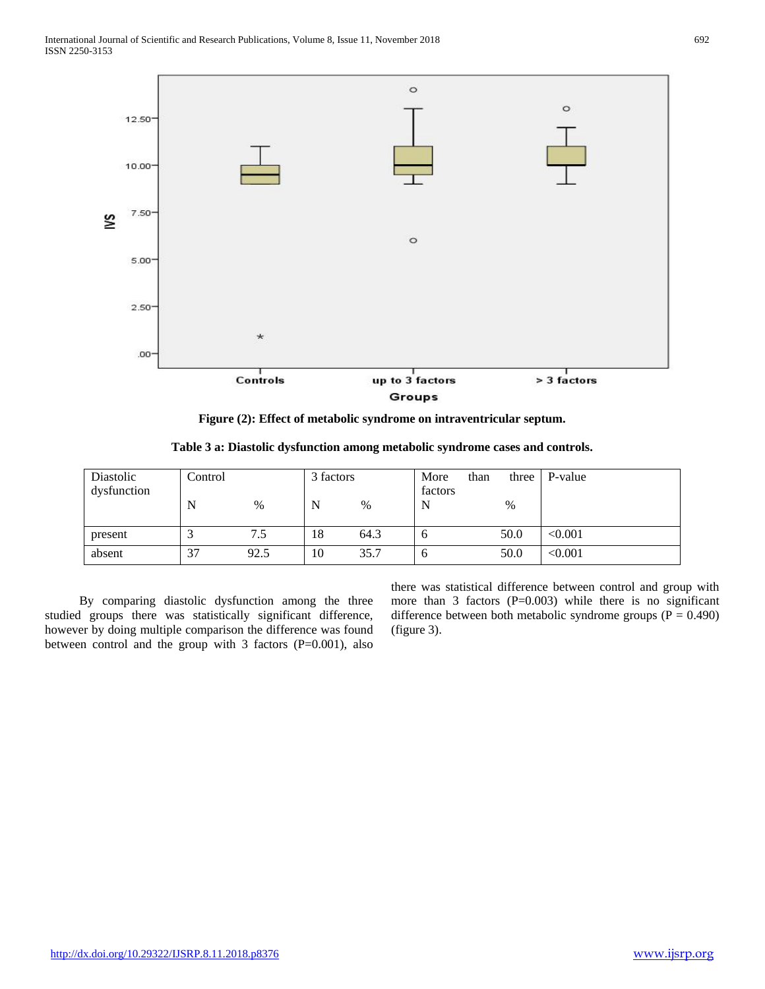

**Figure (2): Effect of metabolic syndrome on intraventricular septum.**

|  |  |  |  | Table 3 a: Diastolic dysfunction among metabolic syndrome cases and controls. |
|--|--|--|--|-------------------------------------------------------------------------------|
|--|--|--|--|-------------------------------------------------------------------------------|

| Diastolic<br>dysfunction | Control |      | 3 factors |      | More<br>three  <br>than<br>factors |      | P-value |
|--------------------------|---------|------|-----------|------|------------------------------------|------|---------|
|                          |         | %    | N         | $\%$ | N                                  | $\%$ |         |
| present                  |         | 7.5  | 18        | 64.3 | $\sigma$                           | 50.0 | < 0.001 |
| absent                   | 37      | 92.5 | 10        | 35.7 | O                                  | 50.0 | < 0.001 |

 By comparing diastolic dysfunction among the three studied groups there was statistically significant difference, however by doing multiple comparison the difference was found between control and the group with 3 factors (P=0.001), also there was statistical difference between control and group with more than 3 factors  $(P=0.003)$  while there is no significant difference between both metabolic syndrome groups ( $P = 0.490$ ) (figure 3).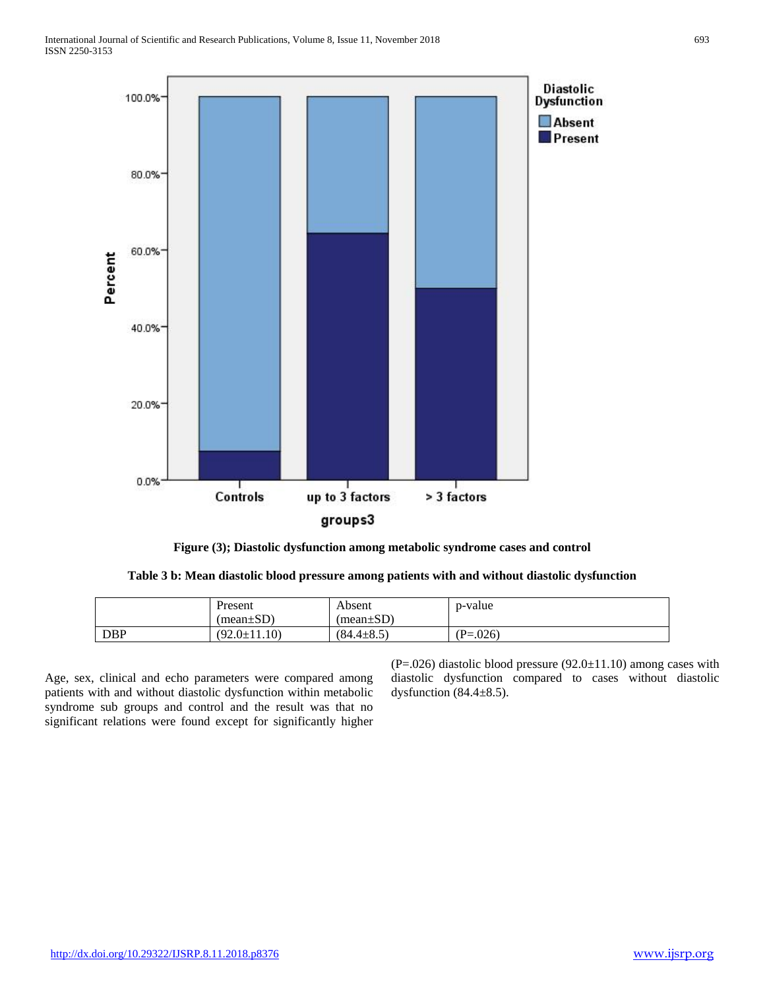

**Figure (3); Diastolic dysfunction among metabolic syndrome cases and control**

**Table 3 b: Mean diastolic blood pressure among patients with and without diastolic dysfunction**

|            | Present<br>$(mean \pm SD)$ | Absent<br>$(mean \pm SD)$ | p-value    |
|------------|----------------------------|---------------------------|------------|
| <b>DBP</b> | $(92.0 \pm 11.10)$         | $(84.4 \pm 8.5)$          | $(P=.026)$ |

Age, sex, clinical and echo parameters were compared among patients with and without diastolic dysfunction within metabolic syndrome sub groups and control and the result was that no significant relations were found except for significantly higher (P=.026) diastolic blood pressure  $(92.0 \pm 11.10)$  among cases with diastolic dysfunction compared to cases without diastolic dysfunction (84.4±8.5).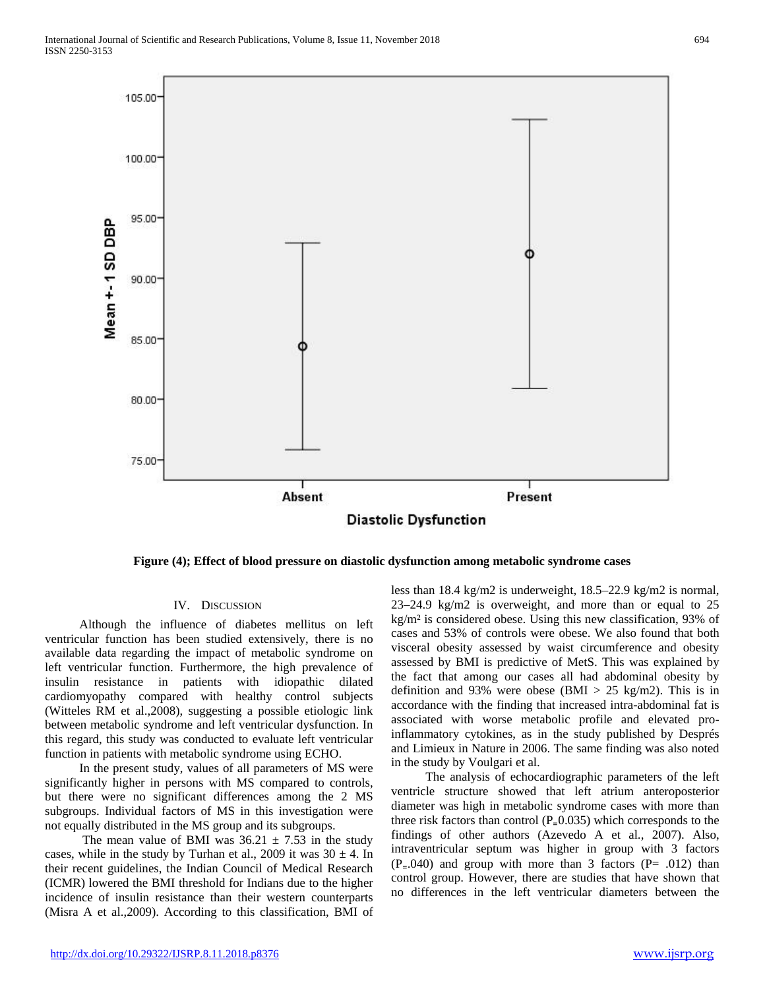

**Figure (4); Effect of blood pressure on diastolic dysfunction among metabolic syndrome cases**

#### IV. DISCUSSION

 Although the influence of diabetes mellitus on left ventricular function has been studied extensively, there is no available data regarding the impact of metabolic syndrome on left ventricular function. Furthermore, the high prevalence of insulin resistance in patients with idiopathic dilated cardiomyopathy compared with healthy control subjects (Witteles RM et al.,2008), suggesting a possible etiologic link between metabolic syndrome and left ventricular dysfunction. In this regard, this study was conducted to evaluate left ventricular function in patients with metabolic syndrome using ECHO.

 In the present study, values of all parameters of MS were significantly higher in persons with MS compared to controls, but there were no significant differences among the 2 MS subgroups. Individual factors of MS in this investigation were not equally distributed in the MS group and its subgroups.

The mean value of BMI was  $36.21 \pm 7.53$  in the study cases, while in the study by Turhan et al., 2009 it was  $30 \pm 4$ . In their recent guidelines, the Indian Council of Medical Research (ICMR) lowered the BMI threshold for Indians due to the higher incidence of insulin resistance than their western counterparts (Misra A et al.,2009). According to this classification, BMI of

less than 18.4 kg/m2 is underweight, 18.5–22.9 kg/m2 is normal, 23–24.9 kg/m2 is overweight, and more than or equal to 25 kg/m² is considered obese. Using this new classification, 93% of cases and 53% of controls were obese. We also found that both visceral obesity assessed by waist circumference and obesity assessed by BMI is predictive of MetS. This was explained by the fact that among our cases all had abdominal obesity by definition and 93% were obese (BMI  $> 25$  kg/m2). This is in accordance with the finding that increased intra-abdominal fat is associated with worse metabolic profile and elevated proinflammatory cytokines, as in the study published by Després and Limieux in Nature in 2006. The same finding was also noted in the study by Voulgari et al.

 The analysis of echocardiographic parameters of the left ventricle structure showed that left atrium anteroposterior diameter was high in metabolic syndrome cases with more than three risk factors than control  $(P_0, 0.035)$  which corresponds to the findings of other authors (Azevedo A et al., 2007). Also, intraventricular septum was higher in group with 3 factors  $(P_0.040)$  and group with more than 3 factors  $(P_0.012)$  than control group. However, there are studies that have shown that no differences in the left ventricular diameters between the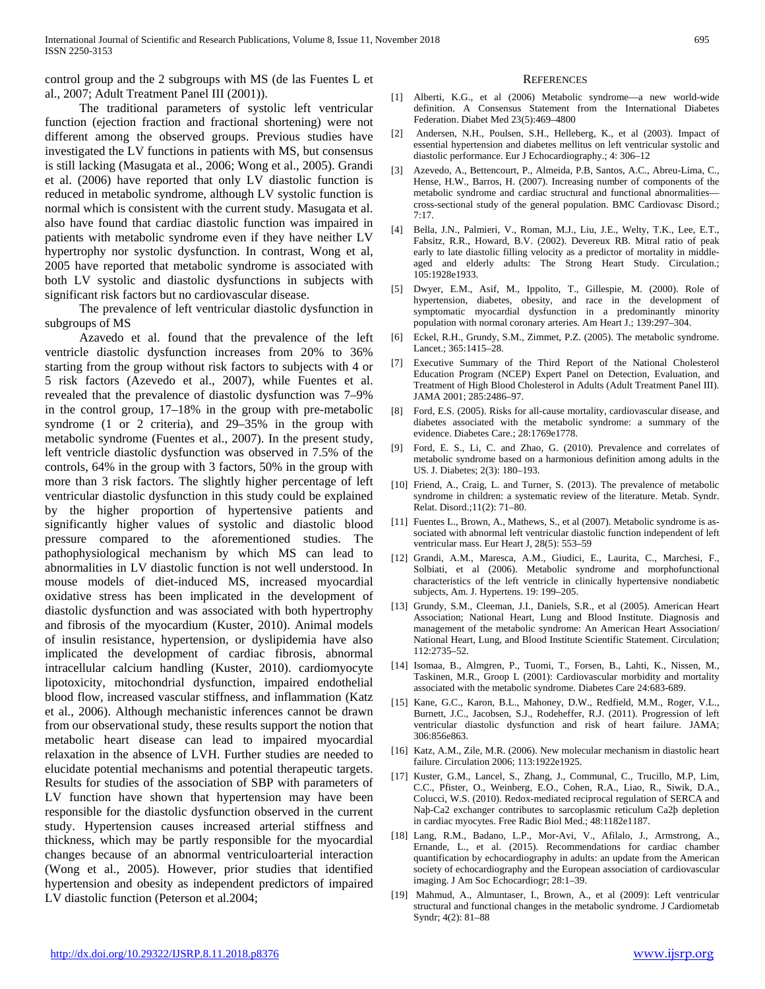control group and the 2 subgroups with MS (de las Fuentes L et al., 2007; Adult Treatment Panel III (2001)).

 The traditional parameters of systolic left ventricular function (ejection fraction and fractional shortening) were not different among the observed groups. Previous studies have investigated the LV functions in patients with MS, but consensus is still lacking (Masugata et al., 2006; Wong et al., 2005). Grandi et al. (2006) have reported that only LV diastolic function is reduced in metabolic syndrome, although LV systolic function is normal which is consistent with the current study. Masugata et al. also have found that cardiac diastolic function was impaired in patients with metabolic syndrome even if they have neither LV hypertrophy nor systolic dysfunction. In contrast, Wong et al, 2005 have reported that metabolic syndrome is associated with both LV systolic and diastolic dysfunctions in subjects with significant risk factors but no cardiovascular disease.

 The prevalence of left ventricular diastolic dysfunction in subgroups of MS

 Azavedo et al. found that the prevalence of the left ventricle diastolic dysfunction increases from 20% to 36% starting from the group without risk factors to subjects with 4 or 5 risk factors (Azevedo et al., 2007), while Fuentes et al. revealed that the prevalence of diastolic dysfunction was 7–9% in the control group, 17–18% in the group with pre-metabolic syndrome (1 or 2 criteria), and 29–35% in the group with metabolic syndrome (Fuentes et al., 2007). In the present study, left ventricle diastolic dysfunction was observed in 7.5% of the controls, 64% in the group with 3 factors, 50% in the group with more than 3 risk factors. The slightly higher percentage of left ventricular diastolic dysfunction in this study could be explained by the higher proportion of hypertensive patients and significantly higher values of systolic and diastolic blood pressure compared to the aforementioned studies. The pathophysiological mechanism by which MS can lead to abnormalities in LV diastolic function is not well understood. In mouse models of diet-induced MS, increased myocardial oxidative stress has been implicated in the development of diastolic dysfunction and was associated with both hypertrophy and fibrosis of the myocardium (Kuster, 2010). Animal models of insulin resistance, hypertension, or dyslipidemia have also implicated the development of cardiac fibrosis, abnormal intracellular calcium handling (Kuster, 2010). cardiomyocyte lipotoxicity, mitochondrial dysfunction, impaired endothelial blood flow, increased vascular stiffness, and inflammation (Katz et al., 2006). Although mechanistic inferences cannot be drawn from our observational study, these results support the notion that metabolic heart disease can lead to impaired myocardial relaxation in the absence of LVH. Further studies are needed to elucidate potential mechanisms and potential therapeutic targets. Results for studies of the association of SBP with parameters of LV function have shown that hypertension may have been responsible for the diastolic dysfunction observed in the current study. Hypertension causes increased arterial stiffness and thickness, which may be partly responsible for the myocardial changes because of an abnormal ventriculoarterial interaction (Wong et al., 2005). However, prior studies that identified hypertension and obesity as independent predictors of impaired LV diastolic function (Peterson et al.2004;

#### **REFERENCES**

- [1] Alberti, K.G., et al (2006) Metabolic syndrome—a new world-wide definition. A Consensus Statement from the International Diabetes Federation. Diabet Med 23(5):469–4800
- [2] Andersen, N.H., Poulsen, S.H., Helleberg, K., et al (2003). Impact of essential hypertension and diabetes mellitus on left ventricular systolic and diastolic performance. Eur J Echocardiography.; 4: 306–12
- [3] Azevedo, A., Bettencourt, P., Almeida, P.B, Santos, A.C., Abreu-Lima, C., Hense, H.W., Barros, H. (2007). Increasing number of components of the metabolic syndrome and cardiac structural and functional abnormalities cross-sectional study of the general population. BMC Cardiovasc Disord.; 7:17.
- [4] Bella, J.N., Palmieri, V., Roman, M.J., Liu, J.E., Welty, T.K., Lee, E.T., Fabsitz, R.R., Howard, B.V. (2002). Devereux RB. Mitral ratio of peak early to late diastolic filling velocity as a predictor of mortality in middleaged and elderly adults: The Strong Heart Study. Circulation.; 105:1928e1933.
- [5] Dwyer, E.M., Asif, M., Ippolito, T., Gillespie, M. (2000). Role of hypertension, diabetes, obesity, and race in the development of symptomatic myocardial dysfunction in a predominantly minority population with normal coronary arteries. Am Heart J.; 139:297–304.
- [6] Eckel, R.H., Grundy, S.M., Zimmet, P.Z. (2005). The metabolic syndrome. Lancet.; 365:1415–28.
- [7] Executive Summary of the Third Report of the National Cholesterol Education Program (NCEP) Expert Panel on Detection, Evaluation, and Treatment of High Blood Cholesterol in Adults (Adult Treatment Panel III). JAMA 2001; 285:2486–97.
- [8] Ford, E.S. (2005). Risks for all-cause mortality, cardiovascular disease, and diabetes associated with the metabolic syndrome: a summary of the evidence. Diabetes Care.; 28:1769e1778.
- [9] Ford, E. S., Li, C. and Zhao, G. (2010). Prevalence and correlates of metabolic syndrome based on a harmonious definition among adults in the US. J. Diabetes; 2(3): 180–193.
- [10] Friend, A., Craig, L. and Turner, S. (2013). The prevalence of metabolic syndrome in children: a systematic review of the literature. Metab. Syndr. Relat. Disord.;11(2): 71–80.
- [11] Fuentes L., Brown, A., Mathews, S., et al (2007). Metabolic syndrome is associated with abnormal left ventricular diastolic function independent of left ventricular mass. Eur Heart J, 28(5): 553–59
- [12] Grandi, A.M., Maresca, A.M., Giudici, E., Laurita, C., Marchesi, F., Solbiati, et al (2006). Metabolic syndrome and morphofunctional characteristics of the left ventricle in clinically hypertensive nondiabetic subjects, Am. J. Hypertens. 19: 199–205.
- [13] Grundy, S.M., Cleeman, J.I., Daniels, S.R., et al (2005). American Heart Association; National Heart, Lung and Blood Institute. Diagnosis and management of the metabolic syndrome: An American Heart Association/ National Heart, Lung, and Blood Institute Scientific Statement. Circulation; 112:2735–52.
- [14] Isomaa, B., Almgren, P., Tuomi, T., Forsen, B., Lahti, K., Nissen, M., Taskinen, M.R., Groop L (2001): Cardiovascular morbidity and mortality associated with the metabolic syndrome. Diabetes Care 24:683-689.
- [15] Kane, G.C., Karon, B.L., Mahoney, D.W., Redfield, M.M., Roger, V.L., Burnett, J.C., Jacobsen, S.J., Rodeheffer, R.J. (2011). Progression of left ventricular diastolic dysfunction and risk of heart failure. JAMA; 306:856e863.
- [16] Katz, A.M., Zile, M.R. (2006). New molecular mechanism in diastolic heart failure. Circulation 2006; 113:1922e1925.
- [17] Kuster, G.M., Lancel, S., Zhang, J., Communal, C., Trucillo, M.P, Lim, C.C., Pfister, O., Weinberg, E.O., Cohen, R.A., Liao, R., Siwik, D.A., Colucci, W.S. (2010). Redox-mediated reciprocal regulation of SERCA and Naþ-Ca2 exchanger contributes to sarcoplasmic reticulum Ca2þ depletion in cardiac myocytes. Free Radic Biol Med.; 48:1182e1187.
- [18] Lang, R.M., Badano, L.P., Mor-Avi, V., Afilalo, J., Armstrong, A., Ernande, L., et al. (2015). Recommendations for cardiac chamber quantification by echocardiography in adults: an update from the American society of echocardiography and the European association of cardiovascular imaging. J Am Soc Echocardiogr; 28:1–39.
- [19] Mahmud, A., Almuntaser, I., Brown, A., et al (2009): Left ventricular structural and functional changes in the metabolic syndrome. J Cardiometab Syndr; 4(2): 81–88